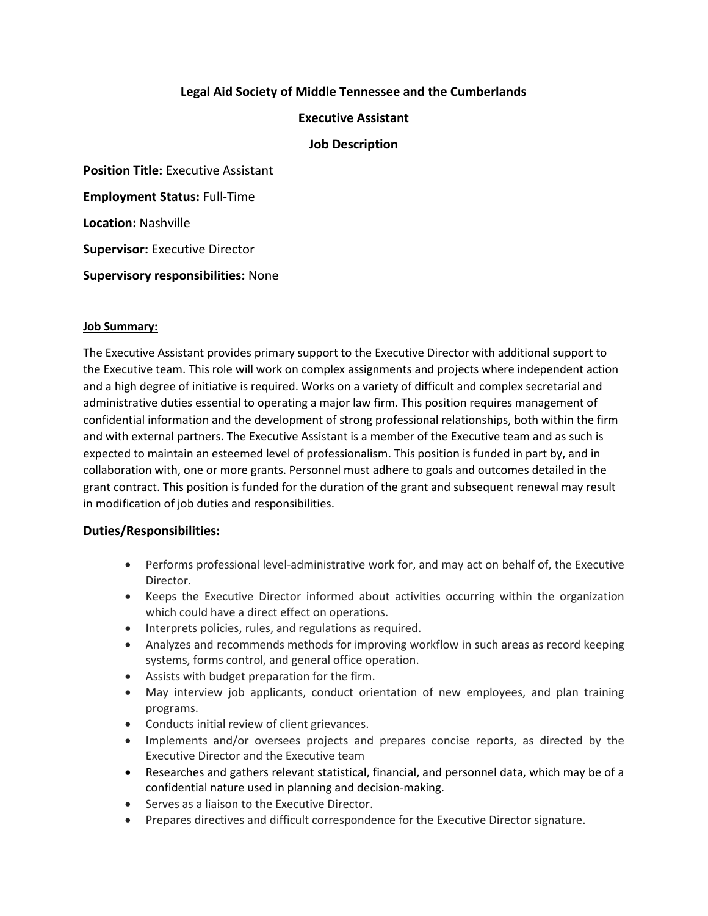# **Legal Aid Society of Middle Tennessee and the Cumberlands**

### **Executive Assistant**

### **Job Description**

**Position Title:** Executive Assistant

**Employment Status:** Full-Time

**Location:** Nashville

**Supervisor:** Executive Director

**Supervisory responsibilities:** None

#### **Job Summary:**

The Executive Assistant provides primary support to the Executive Director with additional support to the Executive team. This role will work on complex assignments and projects where independent action and a high degree of initiative is required. Works on a variety of difficult and complex secretarial and administrative duties essential to operating a major law firm. This position requires management of confidential information and the development of strong professional relationships, both within the firm and with external partners. The Executive Assistant is a member of the Executive team and as such is expected to maintain an esteemed level of professionalism. This position is funded in part by, and in collaboration with, one or more grants. Personnel must adhere to goals and outcomes detailed in the grant contract. This position is funded for the duration of the grant and subsequent renewal may result in modification of job duties and responsibilities.

#### **Duties/Responsibilities:**

- Performs professional level-administrative work for, and may act on behalf of, the Executive Director.
- Keeps the Executive Director informed about activities occurring within the organization which could have a direct effect on operations.
- Interprets policies, rules, and regulations as required.
- Analyzes and recommends methods for improving workflow in such areas as record keeping systems, forms control, and general office operation.
- Assists with budget preparation for the firm.
- May interview job applicants, conduct orientation of new employees, and plan training programs.
- Conducts initial review of client grievances.
- Implements and/or oversees projects and prepares concise reports, as directed by the Executive Director and the Executive team
- Researches and gathers relevant statistical, financial, and personnel data, which may be of a confidential nature used in planning and decision-making.
- Serves as a liaison to the Executive Director.
- Prepares directives and difficult correspondence for the Executive Director signature.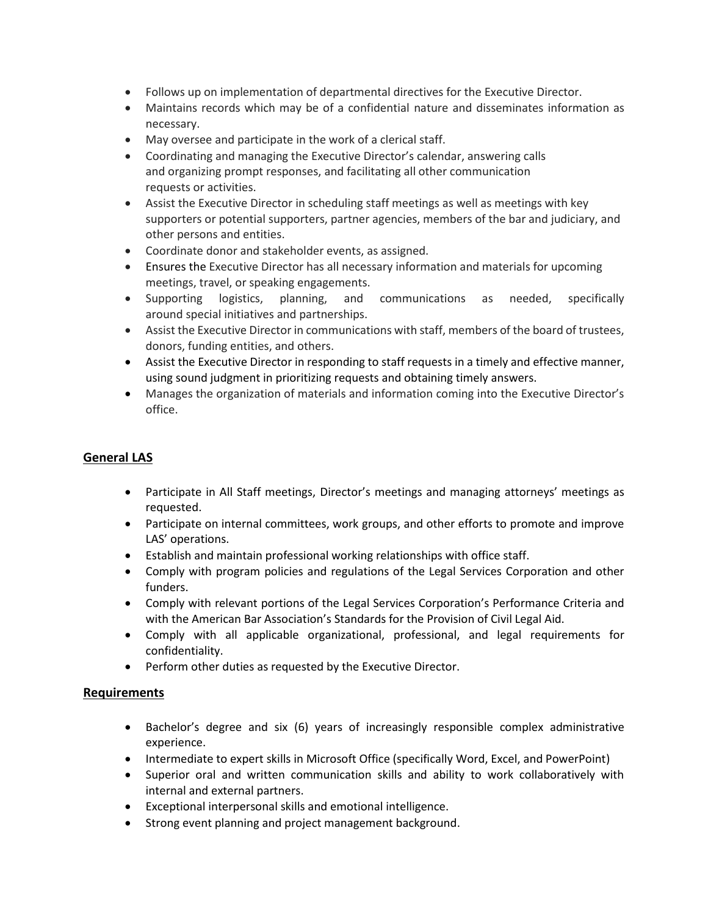- Follows up on implementation of departmental directives for the Executive Director.
- Maintains records which may be of a confidential nature and disseminates information as necessary.
- May oversee and participate in the work of a clerical staff.
- Coordinating and managing the Executive Director's calendar, answering calls and organizing prompt responses, and facilitating all other communication requests or activities.
- Assist the Executive Director in scheduling staff meetings as well as meetings with key supporters or potential supporters, partner agencies, members of the bar and judiciary, and other persons and entities.
- Coordinate donor and stakeholder events, as assigned.
- Ensures the Executive Director has all necessary information and materials for upcoming meetings, travel, or speaking engagements.
- Supporting logistics, planning, and communications as needed, specifically around special initiatives and partnerships.
- Assist the Executive Director in communications with staff, members of the board of trustees, donors, funding entities, and others.
- Assist the Executive Director in responding to staff requests in a timely and effective manner, using sound judgment in prioritizing requests and obtaining timely answers.
- Manages the organization of materials and information coming into the Executive Director's office.

# **General LAS**

- Participate in All Staff meetings, Director's meetings and managing attorneys' meetings as requested.
- Participate on internal committees, work groups, and other efforts to promote and improve LAS' operations.
- Establish and maintain professional working relationships with office staff.
- Comply with program policies and regulations of the Legal Services Corporation and other funders.
- Comply with relevant portions of the Legal Services Corporation's Performance Criteria and with the American Bar Association's Standards for the Provision of Civil Legal Aid.
- Comply with all applicable organizational, professional, and legal requirements for confidentiality.
- Perform other duties as requested by the Executive Director.

#### **Requirements**

- Bachelor's degree and six (6) years of increasingly responsible complex administrative experience.
- Intermediate to expert skills in Microsoft Office (specifically Word, Excel, and PowerPoint)
- Superior oral and written communication skills and ability to work collaboratively with internal and external partners.
- Exceptional interpersonal skills and emotional intelligence.
- Strong event planning and project management background.